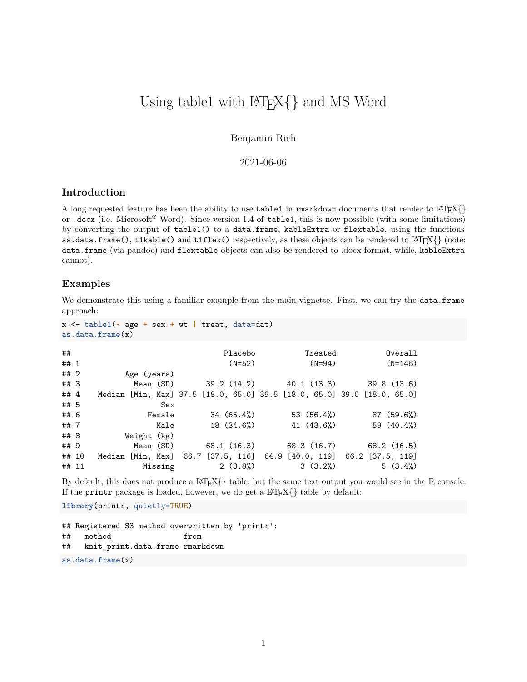# Using table1 with  $\text{LFT}_F X$ } and MS Word

Benjamin Rich

### 2021-06-06

### **Introduction**

A long requested feature has been the ability to use  $\text{table1}$  in rmarkdown documents that render to  $\text{ETr}[X]\}$ or .docx (i.e. Microsoft® Word). Since version 1.4 of table1, this is now possible (with some limitations) by converting the output of table1() to a data.frame, kableExtra or flextable, using the functions as.data.frame(), t1kable() and t1flex() respectively, as these objects can be rendered to  $\text{LATEX}\{\}$  (note: data.frame (via pandoc) and flextable objects can also be rendered to .docx format, while, kableExtra cannot).

#### **Examples**

We demonstrate this using a familiar example from the main vignette. First, we can try the data.frame approach:

```
x <- table1(~ age + sex + wt | treat, data=dat)
as.data.frame(x)
```

| ##<br>## 1 |                                                                         | Placebo<br>$(N=52)$ | Treated<br>$(N=94)$                           | Overall<br>$(N=146)$ |
|------------|-------------------------------------------------------------------------|---------------------|-----------------------------------------------|----------------------|
| ## 2       | Age (years)                                                             |                     |                                               |                      |
| ##3        |                                                                         |                     | Mean (SD) 39.2 (14.2) 40.1 (13.3) 39.8 (13.6) |                      |
| ## $4$     | Median [Min, Max] 37.5 [18.0, 65.0] 39.5 [18.0, 65.0] 39.0 [18.0, 65.0] |                     |                                               |                      |
| ## 5       | Sex                                                                     |                     |                                               |                      |
| ## 6       | Female                                                                  | 34(65.4%)           | 53 $(56.4%)$                                  | 87(59.6%)            |
| ## $7$     | Male                                                                    | 18 (34.6%)          | 41 $(43.6%)$                                  | 59 $(40.4%)$         |
| ## 8       | Weight (kg)                                                             |                     |                                               |                      |
| ## 9       | Mean (SD)                                                               |                     | 68.1 (16.3) 68.3 (16.7) 68.2 (16.5)           |                      |
| ## 10      | Median [Min, Max] 66.7 [37.5, 116] 64.9 [40.0, 119] 66.2 [37.5, 119]    |                     |                                               |                      |
| ## 11      | Missing                                                                 | 2(3.8%)             | 3(3.2%)                                       | 5(3.4%)              |

By default, this does not produce a  $\text{Lipx}\{\}$  table, but the same text output you would see in the R console. If the printr package is loaded, however, we do get a  $\text{LATEX}\{\}$  table by default:

**library**(printr, quietly=TRUE)

```
## Registered S3 method overwritten by 'printr':
## method from
## knit_print.data.frame rmarkdown
as.data.frame(x)
```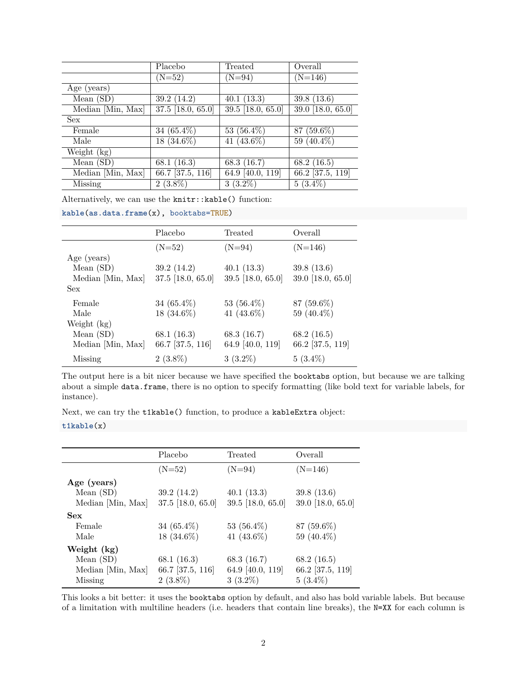|                   | Placebo                        | Treated                        | Overall             |
|-------------------|--------------------------------|--------------------------------|---------------------|
|                   | $(N=52)$                       | $(N=94)$                       | $(N=146)$           |
| Age (years)       |                                |                                |                     |
| Mean $(SD)$       | 39.2(14.2)                     | 40.1(13.3)                     | 39.8(13.6)          |
| Median [Min, Max] | $\overline{37.5}$ [18.0, 65.0] | $\overline{39.5}$ [18.0, 65.0] | $39.0$ [18.0, 65.0] |
| <b>Sex</b>        |                                |                                |                     |
| Female            | $34(65.4\%)$                   | 53 $(56.4\%)$                  | 87 (59.6%)          |
| Male              | 18 (34.6%)                     | 41 $(43.6\%)$                  | 59 (40.4%)          |
| Weight (kg)       |                                |                                |                     |
| Mean $(SD)$       | 68.1 $(16.3)$                  | 68.3 (16.7)                    | 68.2 $(16.5)$       |
| Median [Min, Max] | 66.7 [37.5, 116]               | 64.9 [40.0, 119]               | $66.2$ [37.5, 119]  |
| Missing           | $2(3.8\%)$                     | $3(3.2\%)$                     | $5(3.4\%)$          |

Alternatively, we can use the knitr::kable() function:

**kable**(**as.data.frame**(x), booktabs=TRUE)

|                   | Placebo           | Treated           | Overall           |
|-------------------|-------------------|-------------------|-------------------|
|                   | $(N=52)$          | $(N=94)$          | $(N=146)$         |
| Age (years)       |                   |                   |                   |
| Mean $(SD)$       | 39.2(14.2)        | 40.1(13.3)        | 39.8(13.6)        |
| Median [Min, Max] | 37.5 [18.0, 65.0] | 39.5 [18.0, 65.0] | 39.0 [18.0, 65.0] |
| Sex               |                   |                   |                   |
| Female            | 34 $(65.4\%)$     | 53 $(56.4\%)$     | $87(59.6\%)$      |
| Male              | 18 (34.6%)        | 41 $(43.6\%)$     | 59 (40.4%)        |
| Weight $(kg)$     |                   |                   |                   |
| Mean $(SD)$       | 68.1 $(16.3)$     | 68.3 $(16.7)$     | 68.2 $(16.5)$     |
| Median [Min, Max] | 66.7 [37.5, 116]  | 64.9 [40.0, 119]  | 66.2 [37.5, 119]  |
| Missing           | $2(3.8\%)$        | $3(3.2\%)$        | $5(3.4\%)$        |

The output here is a bit nicer because we have specified the booktabs option, but because we are talking about a simple data.frame, there is no option to specify formatting (like bold text for variable labels, for instance).

Next, we can try the t1kable() function, to produce a kableExtra object:

#### **t1kable**(x)

|                   | Placebo             | Treated           | Overall           |
|-------------------|---------------------|-------------------|-------------------|
|                   | $(N=52)$            | $(N=94)$          | $(N=146)$         |
| Age (years)       |                     |                   |                   |
| Mean $(SD)$       | 39.2(14.2)          | 40.1(13.3)        | 39.8(13.6)        |
| Median [Min, Max] | $37.5$ [18.0, 65.0] | 39.5 [18.0, 65.0] | 39.0 [18.0, 65.0] |
| <b>Sex</b>        |                     |                   |                   |
| Female            | 34 $(65.4\%)$       | 53 $(56.4\%)$     | $87(59.6\%)$      |
| Male              | 18 $(34.6\%)$       | 41 $(43.6\%)$     | 59 $(40.4\%)$     |
| Weight (kg)       |                     |                   |                   |
| Mean $(SD)$       | 68.1 $(16.3)$       | 68.3 $(16.7)$     | 68.2(16.5)        |
| Median [Min, Max] | 66.7 [37.5, 116]    | 64.9 [40.0, 119]  | 66.2 [37.5, 119]  |
| <b>Missing</b>    | $2(3.8\%)$          | $3(3.2\%)$        | $5(3.4\%)$        |

This looks a bit better: it uses the booktabs option by default, and also has bold variable labels. But because of a limitation with multiline headers (i.e. headers that contain line breaks), the N=XX for each column is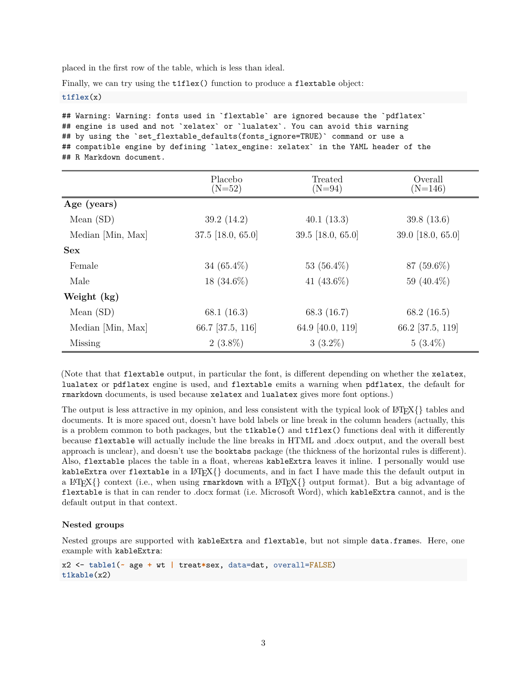placed in the first row of the table, which is less than ideal.

Finally, we can try using the t1flex() function to produce a flextable object:

**t1flex**(x)

## Warning: Warning: fonts used in `flextable` are ignored because the `pdflatex` ## engine is used and not `xelatex` or `lualatex`. You can avoid this warning ## by using the `set\_flextable\_defaults(fonts\_ignore=TRUE)` command or use a ## compatible engine by defining `latex\_engine: xelatex` in the YAML header of the ## R Markdown document.

|                   | Placebo<br>$(N=52)$ | Treated<br>$(N=94)$ | Overall<br>$(N=146)$ |
|-------------------|---------------------|---------------------|----------------------|
| Age (years)       |                     |                     |                      |
| Mean $(SD)$       | 39.2(14.2)          | 40.1(13.3)          | 39.8(13.6)           |
| Median [Min, Max] | 37.5 [18.0, 65.0]   | 39.5 [18.0, 65.0]   | 39.0 [18.0, 65.0]    |
| Sex               |                     |                     |                      |
| Female            | 34 $(65.4\%)$       | 53 $(56.4\%)$       | $87(59.6\%)$         |
| Male              | $18(34.6\%)$        | 41 $(43.6\%)$       | 59 $(40.4\%)$        |
| Weight (kg)       |                     |                     |                      |
| Mean $(SD)$       | 68.1 $(16.3)$       | 68.3 $(16.7)$       | 68.2 $(16.5)$        |
| Median [Min, Max] | 66.7 [37.5, 116]    | 64.9 [40.0, 119]    | 66.2 [37.5, 119]     |
| <b>Missing</b>    | $2(3.8\%)$          | $3(3.2\%)$          | $5(3.4\%)$           |

(Note that that flextable output, in particular the font, is different depending on whether the xelatex, lualatex or pdflatex engine is used, and flextable emits a warning when pdflatex, the default for rmarkdown documents, is used because xelatex and lualatex gives more font options.)

The output is less attractive in my opinion, and less consistent with the typical look of  $\text{Lipx}\$  tables and documents. It is more spaced out, doesn't have bold labels or line break in the column headers (actually, this is a problem common to both packages, but the t1kable() and t1flex() functions deal with it differently because flextable will actually include the line breaks in HTML and .docx output, and the overall best approach is unclear), and doesn't use the booktabs package (the thickness of the horizontal rules is different). Also, flextable places the table in a float, whereas kableExtra leaves it inline. I personally would use kableExtra over flextable in a  $\text{LipX}\{\}\$  documents, and in fact I have made this the default output in a LATEX $\{\}$  context (i.e., when using rmarkdown with a LATEX $\{\}$  output format). But a big advantage of flextable is that in can render to .docx format (i.e. Microsoft Word), which kableExtra cannot, and is the default output in that context.

#### **Nested groups**

Nested groups are supported with kableExtra and flextable, but not simple data.frames. Here, one example with kableExtra:

```
x2 <- table1(~ age + wt | treat*sex, data=dat, overall=FALSE)
t1kable(x2)
```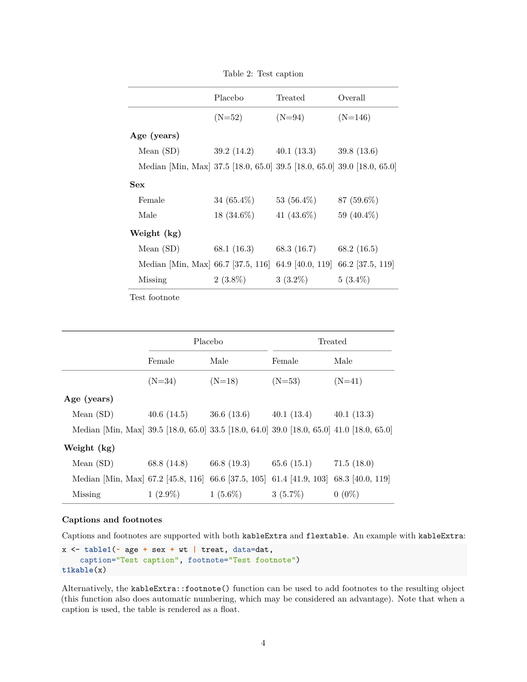|                                                                         | Placebo                   | Treated       | Overall       |
|-------------------------------------------------------------------------|---------------------------|---------------|---------------|
|                                                                         | $(N=52)$                  | $(N=94)$      | $(N=146)$     |
| Age (years)                                                             |                           |               |               |
| Mean $(SD)$                                                             | $39.2(14.2)$ $40.1(13.3)$ |               | 39.8(13.6)    |
| Median [Min, Max] 37.5 [18.0, 65.0] 39.5 [18.0, 65.0] 39.0 [18.0, 65.0] |                           |               |               |
| <b>Sex</b>                                                              |                           |               |               |
| Female                                                                  | $34(65.4\%)$              | 53 $(56.4\%)$ | 87 (59.6%)    |
| Male                                                                    | $18(34.6\%)$              | 41 $(43.6\%)$ | 59 (40.4%)    |
| Weight (kg)                                                             |                           |               |               |
| Mean $(SD)$                                                             | 68.1 (16.3)               | 68.3 (16.7)   | 68.2 $(16.5)$ |
| Median [Min, Max] 66.7 [37.5, 116] 64.9 [40.0, 119] 66.2 [37.5, 119]    |                           |               |               |
| Missing                                                                 | $2(3.8\%)$                | $3(3.2\%)$    | $5(3.4\%)$    |

Table 2: Test caption

Test footnote

|                                                                                           | Placebo     |                           | Treated    |            |
|-------------------------------------------------------------------------------------------|-------------|---------------------------|------------|------------|
|                                                                                           | Female      | Male                      | Female     | Male       |
|                                                                                           | $(N=34)$    | $(N=18)$                  | $(N=53)$   | $(N=41)$   |
| Age (years)                                                                               |             |                           |            |            |
| Mean $(SD)$                                                                               | 40.6(14.5)  | $36.6(13.6)$ $40.1(13.4)$ |            | 40.1(13.3) |
| Median [Min, Max] 39.5 [18.0, 65.0] 33.5 [18.0, 64.0] 39.0 [18.0, 65.0] 41.0 [18.0, 65.0] |             |                           |            |            |
| Weight (kg)                                                                               |             |                           |            |            |
| Mean $(SD)$                                                                               | 68.8 (14.8) | $66.8(19.3)$ $65.6(15.1)$ |            | 71.5(18.0) |
| Median [Min, Max] 67.2 [45.8, 116] 66.6 [37.5, 105] 61.4 [41.9, 103] 68.3 [40.0, 119]     |             |                           |            |            |
| Missing                                                                                   | $1(2.9\%)$  | $1(5.6\%)$                | $3(5.7\%)$ | $0(0\%)$   |

#### **Captions and footnotes**

Captions and footnotes are supported with both kableExtra and flextable. An example with kableExtra:

```
x <- table1(~ age + sex + wt | treat, data=dat,
    caption="Test caption", footnote="Test footnote")
t1kable(x)
```
Alternatively, the kableExtra::footnote() function can be used to add footnotes to the resulting object (this function also does automatic numbering, which may be considered an advantage). Note that when a caption is used, the table is rendered as a float.